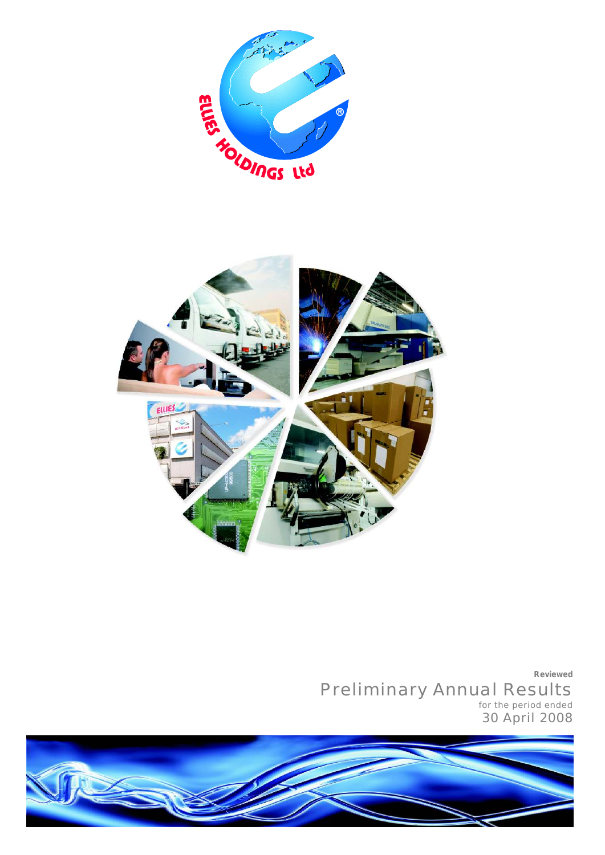



**Reviewed**  Preliminary Annual Results for the period ended 30 April 2008

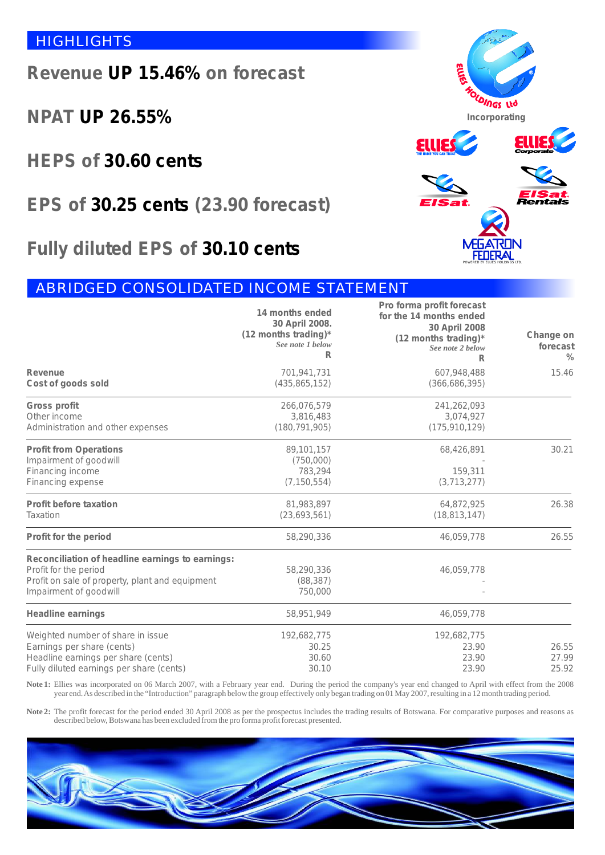# **HIGHLIGHTS**

**Revenue UP 15.46% on forecast** 

**NPAT UP 26.55%**

**HEPS of 30.60 cents**

**EPS of (23.90 forecast) 30.25 cents** 

**Fully diluted EPS of 30.10 cents** 

### ABRIDGED CONSOLIDATED INCOME STATEMENT

| Revenue                                                                                                                                                | 14 months ended<br>30 April 2008.<br>(12 months trading)*<br>See note 1 below<br>R<br>701,941,731 | Pro forma profit forecast<br>for the 14 months ended<br>30 April 2008<br>(12 months trading)*<br>See note 2 below<br>R<br>607,948,488 | Change on<br>forecast<br>$\%$<br>15.46 |
|--------------------------------------------------------------------------------------------------------------------------------------------------------|---------------------------------------------------------------------------------------------------|---------------------------------------------------------------------------------------------------------------------------------------|----------------------------------------|
| Cost of goods sold                                                                                                                                     | (435, 865, 152)                                                                                   | (366,686,395)                                                                                                                         |                                        |
| Gross profit<br>Other income<br>Administration and other expenses                                                                                      | 266,076,579<br>3,816,483<br>(180, 791, 905)                                                       | 241,262,093<br>3,074,927<br>(175, 910, 129)                                                                                           |                                        |
| Profit from Operations<br>Impairment of goodwill<br>Financing income<br>Financing expense                                                              | 89,101,157<br>(750,000)<br>783,294<br>(7, 150, 554)                                               | 68,426,891<br>159,311<br>(3, 713, 277)                                                                                                | 30.21                                  |
| Profit before taxation<br>Taxation                                                                                                                     | 81,983,897<br>(23,693,561)                                                                        | 64,872,925<br>(18, 813, 147)                                                                                                          | 26.38                                  |
| Profit for the period                                                                                                                                  | 58,290,336                                                                                        | 46,059,778                                                                                                                            | 26.55                                  |
| Reconciliation of headline earnings to earnings:<br>Profit for the period<br>Profit on sale of property, plant and equipment<br>Impairment of goodwill | 58,290,336<br>(88, 387)<br>750,000                                                                | 46,059,778                                                                                                                            |                                        |
| Headline earnings                                                                                                                                      | 58,951,949                                                                                        | 46,059,778                                                                                                                            |                                        |
| Weighted number of share in issue<br>Earnings per share (cents)<br>Headline earnings per share (cents)<br>Fully diluted earnings per share (cents)     | 192,682,775<br>30.25<br>30.60<br>30.10                                                            | 192,682,775<br>23.90<br>23.90<br>23.90                                                                                                | 26.55<br>27.99<br>25.92                |

**Note 1:** Ellies was incorporated on 06 March 2007, with a February year end. During the period the company's year end changed to April with effect from the 2008 year end. As described in the "Introduction" paragraph below the group effectively only began trading on 01 May 2007, resulting in a 12 month trading period.

**Note 2:** The profit forecast for the period ended 30 April 2008 as per the prospectus includes the trading results of Botswana. For comparative purposes and reasons as described below, Botswana has been excluded from the pro forma profit forecast presented.



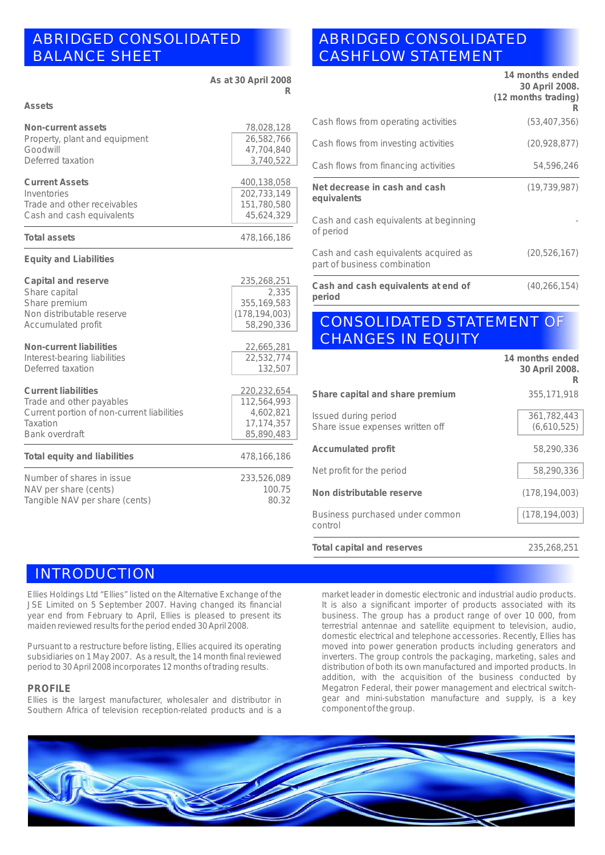## ABRIDGED CONSOLIDATED BALANCE SHEET

|                                            | As at 30 April 2008 |  |
|--------------------------------------------|---------------------|--|
|                                            | R                   |  |
| Assets                                     |                     |  |
| Non-current assets                         | 78,028,128          |  |
| Property, plant and equipment              | 26,582,766          |  |
| Goodwill                                   | 47,704,840          |  |
| Deferred taxation                          | 3,740,522           |  |
|                                            |                     |  |
| <b>Current Assets</b>                      | 400,138,058         |  |
| Inventories                                | 202,733,149         |  |
| Trade and other receivables                | 151,780,580         |  |
| Cash and cash equivalents                  | 45,624,329          |  |
| Total assets                               | 478,166,186         |  |
|                                            |                     |  |
| <b>Equity and Liabilities</b>              |                     |  |
| Capital and reserve                        | 235,268,251         |  |
| Share capital                              | 2,335               |  |
| Share premium                              | 355, 169, 583       |  |
| Non distributable reserve                  | (178, 194, 003)     |  |
| Accumulated profit                         | 58,290,336          |  |
|                                            |                     |  |
| Non-current liabilities                    | 22,665,281          |  |
| Interest-bearing liabilities               | 22,532,774          |  |
| Deferred taxation                          | 132,507             |  |
| <b>Current liabilities</b>                 | 220,232,654         |  |
| Trade and other payables                   | 112,564,993         |  |
| Current portion of non-current liabilities | 4,602,821           |  |
| Taxation                                   | 17, 174, 357        |  |
| Bank overdraft                             | 85,890,483          |  |
| Total equity and liabilities               | 478,166,186         |  |
| Number of shares in issue                  | 233,526,089         |  |
| NAV per share (cents)                      | 100.75              |  |
| Tangible NAV per share (cents)             | 80.32               |  |
|                                            |                     |  |

## ABRIDGED CONSOLIDATED CASHFLOW STATEMENT

|                                                                       | 14 months ended<br>30 April 2008.<br>(12 months trading)<br>R |
|-----------------------------------------------------------------------|---------------------------------------------------------------|
| Cash flows from operating activities                                  | (53, 407, 356)                                                |
| Cash flows from investing activities                                  | (20, 928, 877)                                                |
| Cash flows from financing activities                                  | 54,596,246                                                    |
| Net decrease in cash and cash<br>equivalents                          | (19, 739, 987)                                                |
| Cash and cash equivalents at beginning<br>of period                   |                                                               |
| Cash and cash equivalents acquired as<br>part of business combination | (20, 526, 167)                                                |
| Cash and cash equivalents at end of<br>period                         | (40, 266, 154)                                                |

## CONSOLIDATED STATEMENT OF CHANGES IN EQUITY

|                                                          | 14 months ended<br>30 April 2008.<br>К |
|----------------------------------------------------------|----------------------------------------|
| Share capital and share premium                          | 355, 171, 918                          |
| Issued during period<br>Share issue expenses written off | 361,782,443<br>(6,610,525)             |
| Accumulated profit                                       | 58,290,336                             |
| Net profit for the period                                | 58,290,336                             |
| Non distributable reserve                                | (178, 194, 003)                        |
| Business purchased under common                          | (178, 194, 003)                        |
| control                                                  |                                        |
| Total capital and reserves                               | 235,268,251                            |

### INTRODUCTION

JSE Limited on 5 September 2007. Having changed its financial year end from February to April, Ellies is pleased to present its

Ellies is the largest manufacturer, wholesaler and distributor in gear and mini-substation solution manufacturer, wholesaler and distributor in gear and mini-substation securitor is the largest manufacturer, wholesaler and Southern Africa of television reception-related products and is a

Ellies Holdings Ltd "Ellies" listed on the Alternative Exchange of the market leader in domestic electronic and industrial audio products.<br>
JSE Limited on 5 September 2007. Having changed its financial list also a signific year end from February to April, Ellies is pleased to present its business. The group has a product range of over 10 000, from maiden reviewed results for the period ended 30 April 2008. terrestrial antennae and satellite equipment to television, audio, domestic electrical and telephone accessories. Recently, Ellies has Pursuant to a restructure before listing, Ellies acquired its operating moved into power generation products including generators and subsidiaries on 1 May 2007. As a result, the 14 month final reviewed inverters. The group controls the packaging, marketing, sales and period to 30 April 2008 incorporates 12 months of trading results. In distribution of b distribution of both its own manufactured and imported products. In addition, with the acquisition of the business conducted by **PROFILE** Megatron Federal, their power management and electrical switch-<br>Filies is the largest manufacturer wholesaler and distributor in gear and mini-substation manufacture and supply, is a key